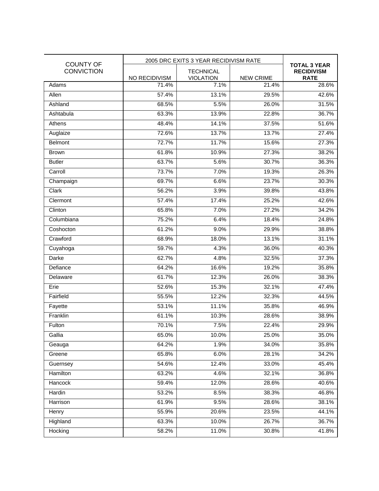| <b>COUNTY OF</b><br><b>CONVICTION</b> | 2005 DRC EXITS 3 YEAR RECIDIVISM RATE |                                      |                  |                                                         |
|---------------------------------------|---------------------------------------|--------------------------------------|------------------|---------------------------------------------------------|
|                                       | NO RECIDIVISM                         | <b>TECHNICAL</b><br><b>VIOLATION</b> | <b>NEW CRIME</b> | <b>TOTAL 3 YEAR</b><br><b>RECIDIVISM</b><br><b>RATE</b> |
| Adams                                 | 71.4%                                 | 7.1%                                 | 21.4%            | 28.6%                                                   |
| Allen                                 | 57.4%                                 | 13.1%                                | 29.5%            | 42.6%                                                   |
| Ashland                               | 68.5%                                 | 5.5%                                 | 26.0%            | 31.5%                                                   |
| Ashtabula                             | 63.3%                                 | 13.9%                                | 22.8%            | 36.7%                                                   |
| Athens                                | 48.4%                                 | 14.1%                                | 37.5%            | 51.6%                                                   |
| Auglaize                              | 72.6%                                 | 13.7%                                | 13.7%            | 27.4%                                                   |
| Belmont                               | 72.7%                                 | 11.7%                                | 15.6%            | 27.3%                                                   |
| <b>Brown</b>                          | 61.8%                                 | 10.9%                                | 27.3%            | 38.2%                                                   |
| <b>Butler</b>                         | 63.7%                                 | 5.6%                                 | 30.7%            | 36.3%                                                   |
| Carroll                               | 73.7%                                 | 7.0%                                 | 19.3%            | 26.3%                                                   |
| Champaign                             | 69.7%                                 | 6.6%                                 | 23.7%            | 30.3%                                                   |
| Clark                                 | 56.2%                                 | 3.9%                                 | 39.8%            | 43.8%                                                   |
| Clermont                              | 57.4%                                 | 17.4%                                | 25.2%            | 42.6%                                                   |
| Clinton                               | 65.8%                                 | 7.0%                                 | 27.2%            | 34.2%                                                   |
| Columbiana                            | 75.2%                                 | 6.4%                                 | 18.4%            | 24.8%                                                   |
| Coshocton                             | 61.2%                                 | 9.0%                                 | 29.9%            | 38.8%                                                   |
| Crawford                              | 68.9%                                 | 18.0%                                | 13.1%            | 31.1%                                                   |
| Cuyahoga                              | 59.7%                                 | 4.3%                                 | 36.0%            | 40.3%                                                   |
| Darke                                 | 62.7%                                 | 4.8%                                 | 32.5%            | 37.3%                                                   |
| Defiance                              | 64.2%                                 | 16.6%                                | 19.2%            | 35.8%                                                   |
| Delaware                              | 61.7%                                 | 12.3%                                | 26.0%            | 38.3%                                                   |
| Erie                                  | 52.6%                                 | 15.3%                                | 32.1%            | 47.4%                                                   |
| Fairfield                             | 55.5%                                 | 12.2%                                | 32.3%            | 44.5%                                                   |
| Fayette                               | 53.1%                                 | 11.1%                                | 35.8%            | 46.9%                                                   |
| Franklin                              | 61.1%                                 | 10.3%                                | 28.6%            | 38.9%                                                   |
| Fulton                                | 70.1%                                 | 7.5%                                 | 22.4%            | 29.9%                                                   |
| Gallia                                | 65.0%                                 | 10.0%                                | 25.0%            | 35.0%                                                   |
| Geauga                                | 64.2%                                 | 1.9%                                 | 34.0%            | 35.8%                                                   |
| Greene                                | 65.8%                                 | 6.0%                                 | 28.1%            | 34.2%                                                   |
| Guernsey                              | 54.6%                                 | 12.4%                                | 33.0%            | 45.4%                                                   |
| Hamilton                              | 63.2%                                 | 4.6%                                 | 32.1%            | 36.8%                                                   |
| Hancock                               | 59.4%                                 | 12.0%                                | 28.6%            | 40.6%                                                   |
| Hardin                                | 53.2%                                 | 8.5%                                 | 38.3%            | 46.8%                                                   |
| Harrison                              | 61.9%                                 | 9.5%                                 | 28.6%            | 38.1%                                                   |
| Henry                                 | 55.9%                                 | 20.6%                                | 23.5%            | 44.1%                                                   |
| Highland                              | 63.3%                                 | 10.0%                                | 26.7%            | 36.7%                                                   |
| Hocking                               | 58.2%                                 | 11.0%                                | 30.8%            | 41.8%                                                   |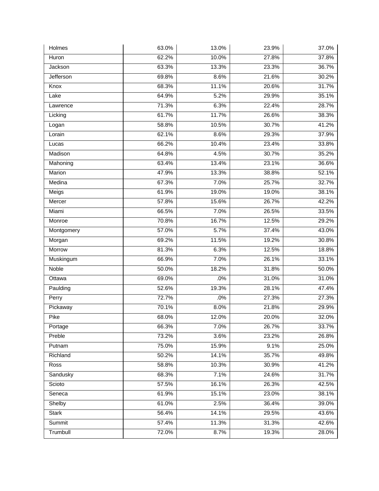| Holmes       | 63.0% | 13.0% | 23.9% | 37.0% |
|--------------|-------|-------|-------|-------|
| Huron        | 62.2% | 10.0% | 27.8% | 37.8% |
| Jackson      | 63.3% | 13.3% | 23.3% | 36.7% |
| Jefferson    | 69.8% | 8.6%  | 21.6% | 30.2% |
| Knox         | 68.3% | 11.1% | 20.6% | 31.7% |
| Lake         | 64.9% | 5.2%  | 29.9% | 35.1% |
| Lawrence     | 71.3% | 6.3%  | 22.4% | 28.7% |
| Licking      | 61.7% | 11.7% | 26.6% | 38.3% |
| Logan        | 58.8% | 10.5% | 30.7% | 41.2% |
| Lorain       | 62.1% | 8.6%  | 29.3% | 37.9% |
| Lucas        | 66.2% | 10.4% | 23.4% | 33.8% |
| Madison      | 64.8% | 4.5%  | 30.7% | 35.2% |
| Mahoning     | 63.4% | 13.4% | 23.1% | 36.6% |
| Marion       | 47.9% | 13.3% | 38.8% | 52.1% |
| Medina       | 67.3% | 7.0%  | 25.7% | 32.7% |
| Meigs        | 61.9% | 19.0% | 19.0% | 38.1% |
| Mercer       | 57.8% | 15.6% | 26.7% | 42.2% |
| Miami        | 66.5% | 7.0%  | 26.5% | 33.5% |
| Monroe       | 70.8% | 16.7% | 12.5% | 29.2% |
| Montgomery   | 57.0% | 5.7%  | 37.4% | 43.0% |
| Morgan       | 69.2% | 11.5% | 19.2% | 30.8% |
| Morrow       | 81.3% | 6.3%  | 12.5% | 18.8% |
| Muskingum    | 66.9% | 7.0%  | 26.1% | 33.1% |
| Noble        | 50.0% | 18.2% | 31.8% | 50.0% |
| Ottawa       | 69.0% | .0%   | 31.0% | 31.0% |
| Paulding     | 52.6% | 19.3% | 28.1% | 47.4% |
| Perry        | 72.7% | .0%   | 27.3% | 27.3% |
| Pickaway     | 70.1% | 8.0%  | 21.8% | 29.9% |
| Pike         | 68.0% | 12.0% | 20.0% | 32.0% |
| Portage      | 66.3% | 7.0%  | 26.7% | 33.7% |
| Preble       | 73.2% | 3.6%  | 23.2% | 26.8% |
| Putnam       | 75.0% | 15.9% | 9.1%  | 25.0% |
| Richland     | 50.2% | 14.1% | 35.7% | 49.8% |
| Ross         | 58.8% | 10.3% | 30.9% | 41.2% |
| Sandusky     | 68.3% | 7.1%  | 24.6% | 31.7% |
| Scioto       | 57.5% | 16.1% | 26.3% | 42.5% |
| Seneca       | 61.9% | 15.1% | 23.0% | 38.1% |
| Shelby       | 61.0% | 2.5%  | 36.4% | 39.0% |
| <b>Stark</b> | 56.4% | 14.1% | 29.5% | 43.6% |
| Summit       | 57.4% | 11.3% | 31.3% | 42.6% |
| Trumbull     | 72.0% | 8.7%  | 19.3% | 28.0% |